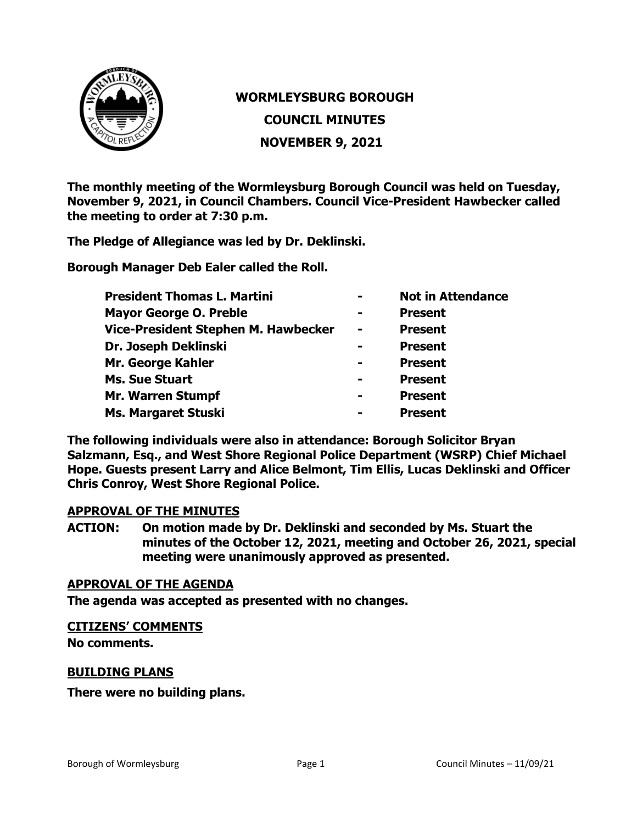

# **WORMLEYSBURG BOROUGH COUNCIL MINUTES NOVEMBER 9, 2021**

**The monthly meeting of the Wormleysburg Borough Council was held on Tuesday, November 9, 2021, in Council Chambers. Council Vice-President Hawbecker called the meeting to order at 7:30 p.m.**

**The Pledge of Allegiance was led by Dr. Deklinski.**

**Borough Manager Deb Ealer called the Roll.**

| <b>President Thomas L. Martini</b>         | $\blacksquare$ | <b>Not in Attendance</b> |
|--------------------------------------------|----------------|--------------------------|
| <b>Mayor George O. Preble</b>              | $\blacksquare$ | <b>Present</b>           |
| <b>Vice-President Stephen M. Hawbecker</b> | $\blacksquare$ | <b>Present</b>           |
| Dr. Joseph Deklinski                       | $\equiv$       | <b>Present</b>           |
| Mr. George Kahler                          |                | <b>Present</b>           |
| <b>Ms. Sue Stuart</b>                      | $\blacksquare$ | <b>Present</b>           |
| <b>Mr. Warren Stumpf</b>                   | $\equiv$       | <b>Present</b>           |
| <b>Ms. Margaret Stuski</b>                 | $\equiv$       | <b>Present</b>           |

**The following individuals were also in attendance: Borough Solicitor Bryan Salzmann, Esq., and West Shore Regional Police Department (WSRP) Chief Michael Hope. Guests present Larry and Alice Belmont, Tim Ellis, Lucas Deklinski and Officer Chris Conroy, West Shore Regional Police.** 

#### **APPROVAL OF THE MINUTES**

**ACTION: On motion made by Dr. Deklinski and seconded by Ms. Stuart the minutes of the October 12, 2021, meeting and October 26, 2021, special meeting were unanimously approved as presented.**

### **APPROVAL OF THE AGENDA**

**The agenda was accepted as presented with no changes.**

#### **CITIZENS' COMMENTS**

**No comments.**

#### **BUILDING PLANS**

**There were no building plans.**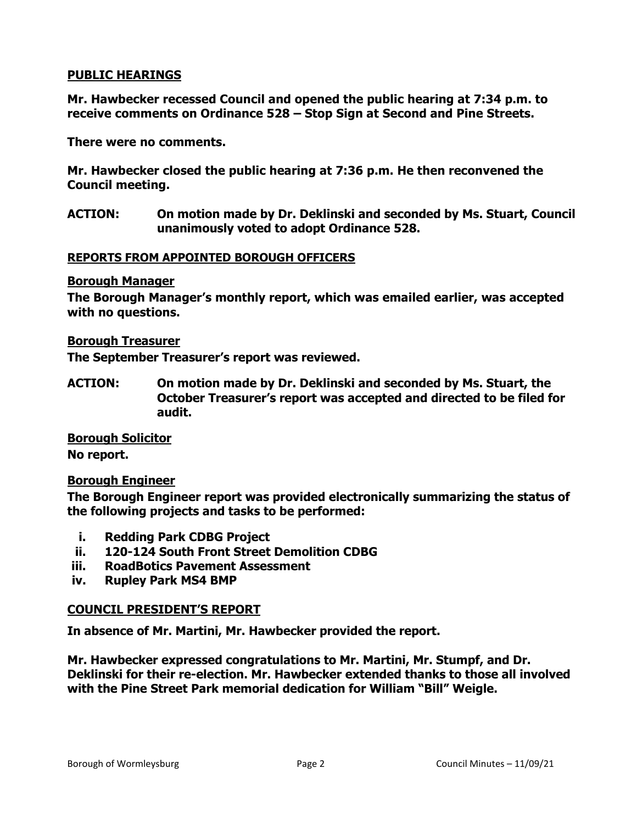## **PUBLIC HEARINGS**

**Mr. Hawbecker recessed Council and opened the public hearing at 7:34 p.m. to receive comments on Ordinance 528 – Stop Sign at Second and Pine Streets.**

**There were no comments.**

**Mr. Hawbecker closed the public hearing at 7:36 p.m. He then reconvened the Council meeting.**

**ACTION: On motion made by Dr. Deklinski and seconded by Ms. Stuart, Council unanimously voted to adopt Ordinance 528.**

#### **REPORTS FROM APPOINTED BOROUGH OFFICERS**

#### **Borough Manager**

**The Borough Manager's monthly report, which was emailed earlier, was accepted with no questions.**

#### **Borough Treasurer**

**The September Treasurer's report was reviewed.**

**ACTION: On motion made by Dr. Deklinski and seconded by Ms. Stuart, the October Treasurer's report was accepted and directed to be filed for audit.**

**Borough Solicitor No report.**

#### **Borough Engineer**

**The Borough Engineer report was provided electronically summarizing the status of the following projects and tasks to be performed:**

- **i. Redding Park CDBG Project**
- **ii. 120-124 South Front Street Demolition CDBG**
- **iii. RoadBotics Pavement Assessment**
- **iv. Rupley Park MS4 BMP**

#### **COUNCIL PRESIDENT'S REPORT**

**In absence of Mr. Martini, Mr. Hawbecker provided the report.**

**Mr. Hawbecker expressed congratulations to Mr. Martini, Mr. Stumpf, and Dr. Deklinski for their re-election. Mr. Hawbecker extended thanks to those all involved with the Pine Street Park memorial dedication for William "Bill" Weigle.**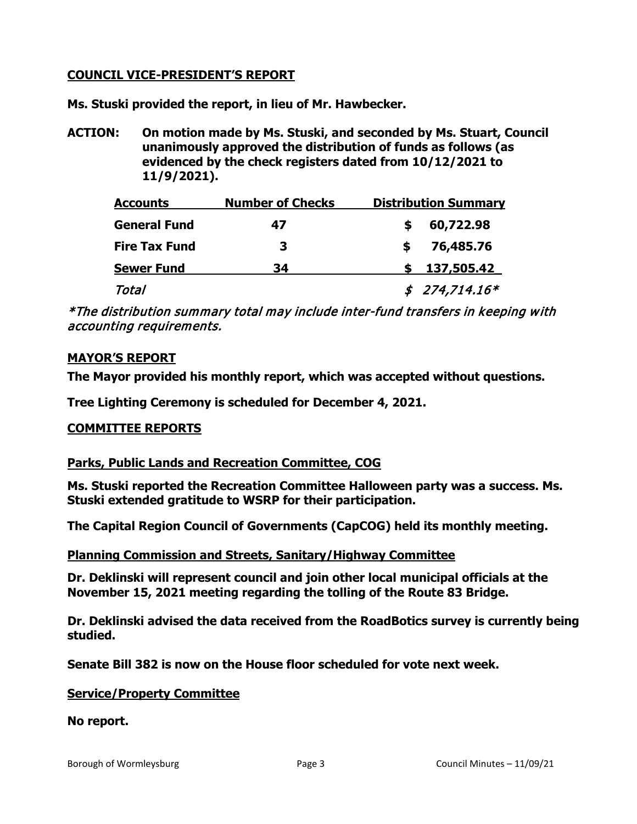## **COUNCIL VICE-PRESIDENT'S REPORT**

**Ms. Stuski provided the report, in lieu of Mr. Hawbecker.**

**ACTION: On motion made by Ms. Stuski, and seconded by Ms. Stuart, Council unanimously approved the distribution of funds as follows (as evidenced by the check registers dated from 10/12/2021 to 11/9/2021).**

| <b>Accounts</b>      | <b>Number of Checks</b><br>47 | <b>Distribution Summary</b> |  |  |
|----------------------|-------------------------------|-----------------------------|--|--|
| <b>General Fund</b>  |                               | 60,722.98                   |  |  |
| <b>Fire Tax Fund</b> | 3                             | 76,485.76                   |  |  |
| <b>Sewer Fund</b>    | 34                            | 137,505.42                  |  |  |
| Total                |                               | $$274,714.16*$              |  |  |

\*The distribution summary total may include inter-fund transfers in keeping with accounting requirements.

## **MAYOR'S REPORT**

**The Mayor provided his monthly report, which was accepted without questions.** 

**Tree Lighting Ceremony is scheduled for December 4, 2021.**

## **COMMITTEE REPORTS**

## **Parks, Public Lands and Recreation Committee, COG**

**Ms. Stuski reported the Recreation Committee Halloween party was a success. Ms. Stuski extended gratitude to WSRP for their participation.**

**The Capital Region Council of Governments (CapCOG) held its monthly meeting.**

#### **Planning Commission and Streets, Sanitary/Highway Committee**

**Dr. Deklinski will represent council and join other local municipal officials at the November 15, 2021 meeting regarding the tolling of the Route 83 Bridge.**

**Dr. Deklinski advised the data received from the RoadBotics survey is currently being studied.**

**Senate Bill 382 is now on the House floor scheduled for vote next week.**

#### **Service/Property Committee**

#### **No report.**